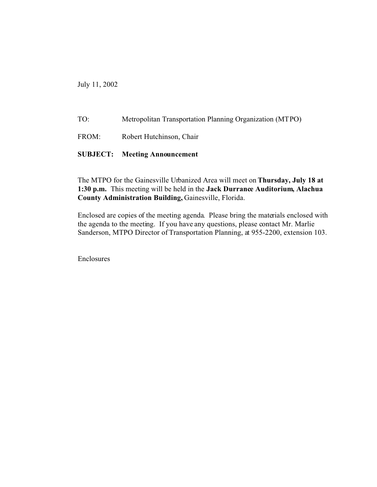July 11, 2002

TO: Metropolitan Transportation Planning Organization (MTPO) FROM: Robert Hutchinson, Chair **SUBJECT: Meeting Announcement**

The MTPO for the Gainesville Urbanized Area will meet on **Thursday, July 18 at 1:30 p.m.** This meeting will be held in the **Jack Durrance Auditorium, Alachua County Administration Building,** Gainesville, Florida.

Enclosed are copies of the meeting agenda. Please bring the materials enclosed with the agenda to the meeting. If you have any questions, please contact Mr. Marlie Sanderson, MTPO Director of Transportation Planning, at 955-2200, extension 103.

Enclosures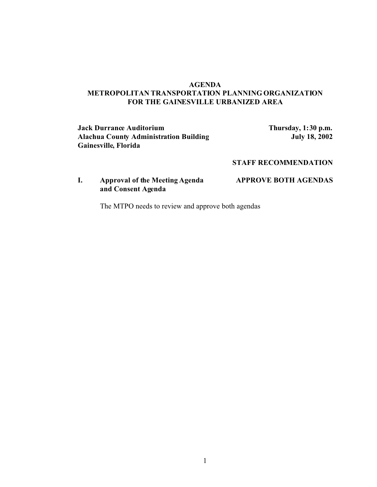### **AGENDA METROPOLITAN TRANSPORTATION PLANNING ORGANIZATION FOR THE GAINESVILLE URBANIZED AREA**

### **Jack Durrance Auditorium**<br>**Alachua County Administration Building Thursday, 1:30 p.m.**<br>**July 18, 2002 Alachua County Administration Building Gainesville, Florida**

## **STAFF RECOMMENDATION**

# **I. Approval of the Meeting Agenda APPROVE BOTH AGENDAS and Consent Agenda**

The MTPO needs to review and approve both agendas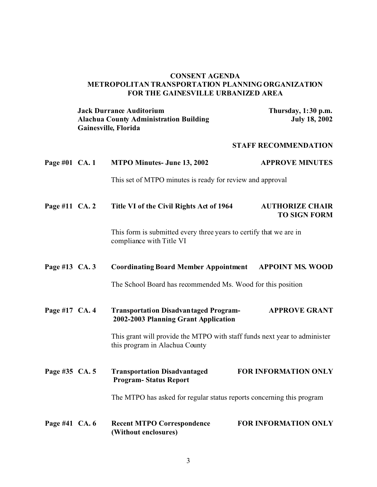## **CONSENT AGENDA METROPOLITAN TRANSPORTATION PLANNING ORGANIZATION FOR THE GAINESVILLE URBANIZED AREA**

|                | <b>Jack Durrance Auditorium</b><br><b>Alachua County Administration Building</b><br>Gainesville, Florida    | Thursday, 1:30 p.m.<br><b>July 18, 2002</b>   |
|----------------|-------------------------------------------------------------------------------------------------------------|-----------------------------------------------|
|                |                                                                                                             | <b>STAFF RECOMMENDATION</b>                   |
| Page #01 CA. 1 | <b>MTPO Minutes- June 13, 2002</b>                                                                          | <b>APPROVE MINUTES</b>                        |
|                | This set of MTPO minutes is ready for review and approval                                                   |                                               |
| Page #11 CA. 2 | Title VI of the Civil Rights Act of 1964                                                                    | <b>AUTHORIZE CHAIR</b><br><b>TO SIGN FORM</b> |
|                | This form is submitted every three years to certify that we are in<br>compliance with Title VI              |                                               |
| Page #13 CA. 3 | <b>Coordinating Board Member Appointment APPOINT MS. WOOD</b>                                               |                                               |
|                | The School Board has recommended Ms. Wood for this position                                                 |                                               |
| Page #17 CA. 4 | <b>Transportation Disadvantaged Program-</b><br>2002-2003 Planning Grant Application                        | <b>APPROVE GRANT</b>                          |
|                | This grant will provide the MTPO with staff funds next year to administer<br>this program in Alachua County |                                               |
| Page #35 CA. 5 | <b>Transportation Disadvantaged</b><br><b>Program-Status Report</b>                                         | FOR INFORMATION ONLY                          |
|                | The MTPO has asked for regular status reports concerning this program                                       |                                               |
| Page #41 CA. 6 | <b>Recent MTPO Correspondence</b><br>(Without enclosures)                                                   | FOR INFORMATION ONLY                          |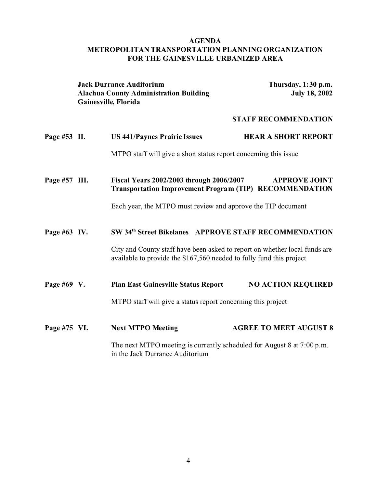## **AGENDA METROPOLITAN TRANSPORTATION PLANNING ORGANIZATION FOR THE GAINESVILLE URBANIZED AREA**

|               | <b>Jack Durrance Auditorium</b><br><b>Alachua County Administration Building</b><br>Gainesville, Florida |                                                                                                                                                    | Thursday, 1:30 p.m.<br><b>July 18, 2002</b> |  |
|---------------|----------------------------------------------------------------------------------------------------------|----------------------------------------------------------------------------------------------------------------------------------------------------|---------------------------------------------|--|
|               |                                                                                                          |                                                                                                                                                    | <b>STAFF RECOMMENDATION</b>                 |  |
| Page #53 II.  |                                                                                                          | <b>US 441/Paynes Prairie Issues</b>                                                                                                                | <b>HEAR A SHORT REPORT</b>                  |  |
|               |                                                                                                          | MTPO staff will give a short status report concerning this issue                                                                                   |                                             |  |
| Page #57 III. |                                                                                                          | Fiscal Years 2002/2003 through 2006/2007<br><b>Transportation Improvement Program (TIP) RECOMMENDATION</b>                                         | <b>APPROVE JOINT</b>                        |  |
|               |                                                                                                          | Each year, the MTPO must review and approve the TIP document                                                                                       |                                             |  |
| Page #63 IV.  |                                                                                                          | SW 34th Street Bikelanes APPROVE STAFF RECOMMENDATION                                                                                              |                                             |  |
|               |                                                                                                          | City and County staff have been asked to report on whether local funds are<br>available to provide the \$167,560 needed to fully fund this project |                                             |  |
| Page #69 V.   |                                                                                                          | <b>Plan East Gainesville Status Report</b>                                                                                                         | <b>NO ACTION REQUIRED</b>                   |  |
|               |                                                                                                          | MTPO staff will give a status report concerning this project                                                                                       |                                             |  |
| Page #75 VI.  |                                                                                                          | <b>Next MTPO Meeting</b>                                                                                                                           | <b>AGREE TO MEET AUGUST 8</b>               |  |
|               |                                                                                                          | The next MTPO meeting is currently scheduled for August 8 at $7:00 \text{ p.m.}$<br>in the Jack Durrance Auditorium                                |                                             |  |